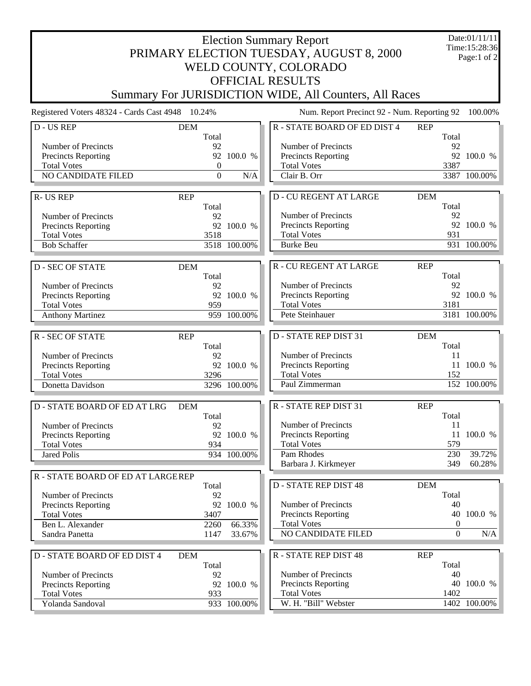| <b>Election Summary Report</b><br>PRIMARY ELECTION TUESDAY, AUGUST 8, 2000<br>WELD COUNTY, COLORADO    |                                                     |                             |                                                                                                               |                                                           |                             |  |  |  |  |
|--------------------------------------------------------------------------------------------------------|-----------------------------------------------------|-----------------------------|---------------------------------------------------------------------------------------------------------------|-----------------------------------------------------------|-----------------------------|--|--|--|--|
| <b>OFFICIAL RESULTS</b><br>Summary For JURISDICTION WIDE, All Counters, All Races                      |                                                     |                             |                                                                                                               |                                                           |                             |  |  |  |  |
| Registered Voters 48324 - Cards Cast 4948 10.24%                                                       |                                                     |                             | Num. Report Precinct 92 - Num. Reporting 92                                                                   |                                                           | 100.00%                     |  |  |  |  |
| D - US REP<br><b>DEM</b>                                                                               |                                                     |                             | R - STATE BOARD OF ED DIST 4<br><b>REP</b>                                                                    |                                                           |                             |  |  |  |  |
| Number of Precincts<br>Precincts Reporting<br><b>Total Votes</b><br>NO CANDIDATE FILED                 | Total<br>92<br>$\boldsymbol{0}$<br>$\boldsymbol{0}$ | 92 100.0 %<br>N/A           | Number of Precincts<br>Precincts Reporting<br><b>Total Votes</b><br>Clair B. Orr                              | Total<br>92<br>3387                                       | 92 100.0 %<br>3387 100.00%  |  |  |  |  |
| <b>R-US REP</b><br><b>REP</b>                                                                          |                                                     |                             | <b>D-CU REGENT AT LARGE</b><br><b>DEM</b>                                                                     |                                                           |                             |  |  |  |  |
| Number of Precincts<br>Precincts Reporting<br><b>Total Votes</b><br><b>Bob Schaffer</b>                | Total<br>92<br>3518                                 | 92 100.0 %<br>3518 100.00%  | Number of Precincts<br>Precincts Reporting<br><b>Total Votes</b><br><b>Burke Beu</b>                          | Total<br>92<br>931                                        | 92 100.0 %<br>931 100.00%   |  |  |  |  |
| <b>D-SEC OF STATE</b><br><b>DEM</b>                                                                    |                                                     |                             | <b>R-CU REGENT AT LARGE</b><br><b>REP</b>                                                                     |                                                           |                             |  |  |  |  |
| Number of Precincts<br>Precincts Reporting<br><b>Total Votes</b><br><b>Anthony Martinez</b>            | Total<br>92<br>959                                  | 92 100.0 %<br>959 100.00%   | Number of Precincts<br>Precincts Reporting<br><b>Total Votes</b><br>Pete Steinhauer                           | Total<br>92<br>3181                                       | 92 100.0 %<br>3181 100.00%  |  |  |  |  |
| <b>R-SEC OF STATE</b><br><b>REP</b>                                                                    |                                                     |                             | <b>D-STATE REP DIST 31</b><br><b>DEM</b>                                                                      |                                                           |                             |  |  |  |  |
| Number of Precincts<br>Precincts Reporting<br><b>Total Votes</b><br>Donetta Davidson                   | Total<br>92<br>3296                                 | 92 100.0 %<br>3296 100.00%  | Number of Precincts<br>Precincts Reporting<br><b>Total Votes</b><br>Paul Zimmerman                            | Total<br>11<br>11<br>152                                  | 100.0 %<br>152 100.00%      |  |  |  |  |
| <b>D-STATE BOARD OF ED AT LRG</b><br><b>DEM</b>                                                        |                                                     |                             | R - STATE REP DIST 31<br><b>REP</b>                                                                           |                                                           |                             |  |  |  |  |
| Number of Precincts<br><b>Precincts Reporting</b><br><b>Total Votes</b><br><b>Jared Polis</b>          | Total<br>92<br>934                                  | 92 100.0 %<br>934 100.00%   | Number of Precincts<br><b>Precincts Reporting</b><br><b>Total Votes</b><br>Pam Rhodes<br>Barbara J. Kirkmeyer | Total<br>11<br>11<br>579<br>230<br>349                    | 100.0 %<br>39.72%<br>60.28% |  |  |  |  |
| R - STATE BOARD OF ED AT LARGEREP                                                                      |                                                     |                             | <b>D-STATE REP DIST 48</b><br><b>DEM</b>                                                                      |                                                           |                             |  |  |  |  |
| Number of Precincts<br>Precincts Reporting<br><b>Total Votes</b><br>Ben L. Alexander<br>Sandra Panetta | Total<br>92<br>92<br>3407<br>2260<br>1147           | 100.0 %<br>66.33%<br>33.67% | Number of Precincts<br><b>Precincts Reporting</b><br><b>Total Votes</b><br>NO CANDIDATE FILED                 | Total<br>40<br>40<br>$\boldsymbol{0}$<br>$\boldsymbol{0}$ | 100.0 %<br>N/A              |  |  |  |  |
| D - STATE BOARD OF ED DIST 4<br><b>DEM</b>                                                             |                                                     |                             | <b>R-STATE REP DIST 48</b><br><b>REP</b>                                                                      |                                                           |                             |  |  |  |  |
| Number of Precincts<br>Precincts Reporting<br><b>Total Votes</b><br>Yolanda Sandoval                   | Total<br>92<br>933                                  | 92 100.0 %<br>933 100.00%   | Number of Precincts<br>Precincts Reporting<br><b>Total Votes</b><br>W. H. "Bill" Webster                      | Total<br>40<br>1402                                       | 40 100.0 %<br>1402 100.00%  |  |  |  |  |